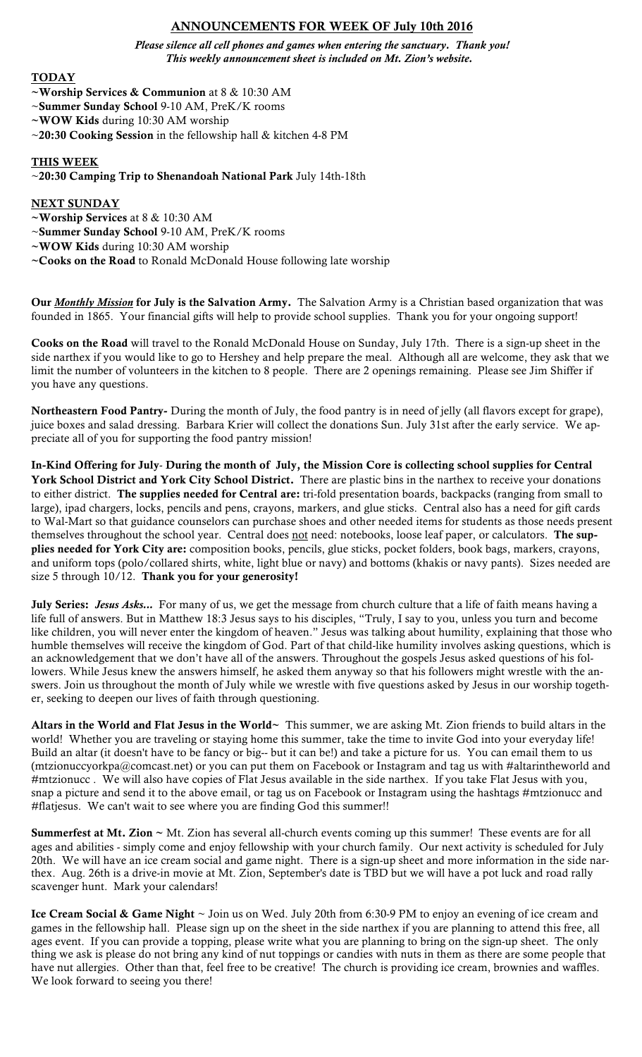# ANNOUNCEMENTS FOR WEEK OF July 10th 2016

*Please silence all cell phones and games when entering the sanctuary. Thank you! This weekly announcement sheet is included on Mt. Zion's website.*

### TODAY

- ~Worship Services & Communion at 8 & 10:30 AM
- ~Summer Sunday School 9-10 AM, PreK/K rooms
- ~WOW Kids during 10:30 AM worship
- ~20:30 Cooking Session in the fellowship hall & kitchen 4-8 PM

#### THIS WEEK

#### ~20:30 Camping Trip to Shenandoah National Park July 14th-18th

### NEXT SUNDAY

- ~Worship Services at 8 & 10:30 AM
- ~Summer Sunday School 9-10 AM, PreK/K rooms
- ~WOW Kids during 10:30 AM worship
- ~Cooks on the Road to Ronald McDonald House following late worship

Our *Monthly Mission* for July is the Salvation Army. The Salvation Army is a Christian based organization that was founded in 1865. Your financial gifts will help to provide school supplies. Thank you for your ongoing support!

Cooks on the Road will travel to the Ronald McDonald House on Sunday, July 17th. There is a sign-up sheet in the side narthex if you would like to go to Hershey and help prepare the meal. Although all are welcome, they ask that we limit the number of volunteers in the kitchen to 8 people. There are 2 openings remaining. Please see Jim Shiffer if you have any questions.

Northeastern Food Pantry- During the month of July, the food pantry is in need of jelly (all flavors except for grape), juice boxes and salad dressing. Barbara Krier will collect the donations Sun. July 31st after the early service. We appreciate all of you for supporting the food pantry mission!

In-Kind Offering for July- During the month of July, the Mission Core is collecting school supplies for Central York School District and York City School District. There are plastic bins in the narthex to receive your donations to either district. The supplies needed for Central are: tri-fold presentation boards, backpacks (ranging from small to large), ipad chargers, locks, pencils and pens, crayons, markers, and glue sticks. Central also has a need for gift cards to Wal-Mart so that guidance counselors can purchase shoes and other needed items for students as those needs present themselves throughout the school year. Central does not need: notebooks, loose leaf paper, or calculators. The supplies needed for York City are: composition books, pencils, glue sticks, pocket folders, book bags, markers, crayons, and uniform tops (polo/collared shirts, white, light blue or navy) and bottoms (khakis or navy pants). Sizes needed are size 5 through 10/12. Thank you for your generosity!

July Series: Jesus Asks... For many of us, we get the message from church culture that a life of faith means having a life full of answers. But in Matthew 18:3 Jesus says to his disciples, "Truly, I say to you, unless you turn and become like children, you will never enter the kingdom of heaven." Jesus was talking about humility, explaining that those who humble themselves will receive the kingdom of God. Part of that child-like humility involves asking questions, which is an acknowledgement that we don't have all of the answers. Throughout the gospels Jesus asked questions of his followers. While Jesus knew the answers himself, he asked them anyway so that his followers might wrestle with the answers. Join us throughout the month of July while we wrestle with five questions asked by Jesus in our worship together, seeking to deepen our lives of faith through questioning.

Altars in the World and Flat Jesus in the World $\sim$  This summer, we are asking Mt. Zion friends to build altars in the world! Whether you are traveling or staying home this summer, take the time to invite God into your everyday life! Build an altar (it doesn't have to be fancy or big-- but it can be!) and take a picture for us. You can email them to us (mtzionuccyorkpa@comcast.net) or you can put them on Facebook or Instagram and tag us with #altarintheworld and #mtzionucc . We will also have copies of Flat Jesus available in the side narthex. If you take Flat Jesus with you, snap a picture and send it to the above email, or tag us on Facebook or Instagram using the hashtags #mtzionucc and #flatjesus. We can't wait to see where you are finding God this summer!!

Summerfest at Mt. Zion ~ Mt. Zion has several all-church events coming up this summer! These events are for all ages and abilities - simply come and enjoy fellowship with your church family. Our next activity is scheduled for July 20th. We will have an ice cream social and game night. There is a sign-up sheet and more information in the side narthex. Aug. 26th is a drive-in movie at Mt. Zion, September's date is TBD but we will have a pot luck and road rally scavenger hunt. Mark your calendars!

Ice Cream Social & Game Night ~ Join us on Wed. July 20th from 6:30-9 PM to enjoy an evening of ice cream and games in the fellowship hall. Please sign up on the sheet in the side narthex if you are planning to attend this free, all ages event. If you can provide a topping, please write what you are planning to bring on the sign-up sheet. The only thing we ask is please do not bring any kind of nut toppings or candies with nuts in them as there are some people that have nut allergies. Other than that, feel free to be creative! The church is providing ice cream, brownies and waffles. We look forward to seeing you there!